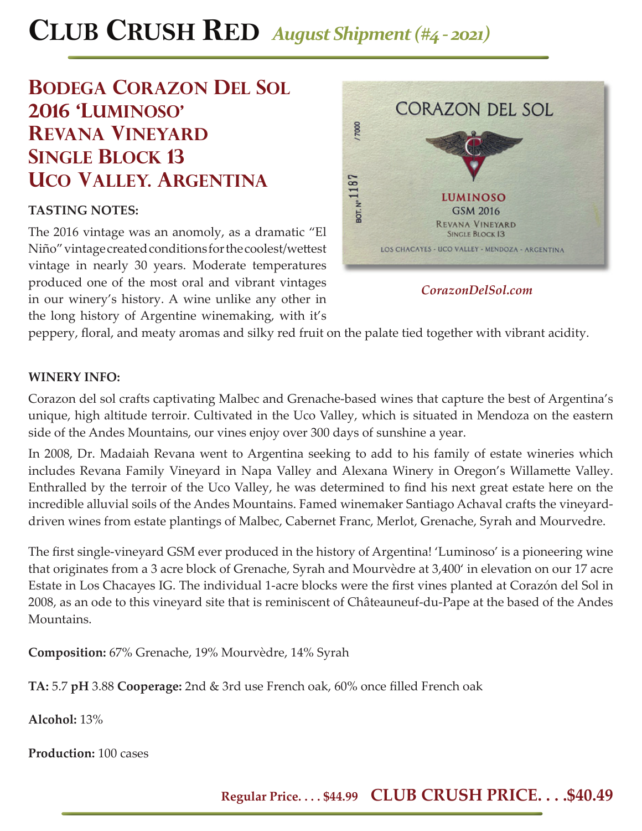## **CLUB CRUSH RED** *August Shipment (#4 - 2021)*

## **BODEGA CORAZON DEL SOL 2016 'luminoso' revana vineyard single block 13 uco valley. argentina**

### **TASTING NOTES:**

The 2016 vintage was an anomoly, as a dramatic "El Niño" vintage created conditions for the coolest/wettest vintage in nearly 30 years. Moderate temperatures produced one of the most oral and vibrant vintages in our winery's history. A wine unlike any other in the long history of Argentine winemaking, with it's



*CorazonDelSol.com*

peppery, floral, and meaty aromas and silky red fruit on the palate tied together with vibrant acidity.

#### **WINERY INFO:**

Corazon del sol crafts captivating Malbec and Grenache-based wines that capture the best of Argentina's unique, high altitude terroir. Cultivated in the Uco Valley, which is situated in Mendoza on the eastern side of the Andes Mountains, our vines enjoy over 300 days of sunshine a year.

In 2008, Dr. Madaiah Revana went to Argentina seeking to add to his family of estate wineries which includes Revana Family Vineyard in Napa Valley and Alexana Winery in Oregon's Willamette Valley. Enthralled by the terroir of the Uco Valley, he was determined to find his next great estate here on the incredible alluvial soils of the Andes Mountains. Famed winemaker Santiago Achaval crafts the vineyarddriven wines from estate plantings of Malbec, Cabernet Franc, Merlot, Grenache, Syrah and Mourvedre.

The first single-vineyard GSM ever produced in the history of Argentina! 'Luminoso' is a pioneering wine that originates from a 3 acre block of Grenache, Syrah and Mourvèdre at 3,400' in elevation on our 17 acre Estate in Los Chacayes IG. The individual 1-acre blocks were the first vines planted at Corazón del Sol in 2008, as an ode to this vineyard site that is reminiscent of Châteauneuf-du-Pape at the based of the Andes Mountains.

**Composition:** 67% Grenache, 19% Mourvèdre, 14% Syrah

TA: 5.7 pH 3.88 Cooperage: 2nd & 3rd use French oak, 60% once filled French oak

**Alcohol:** 13%

**Production:** 100 cases